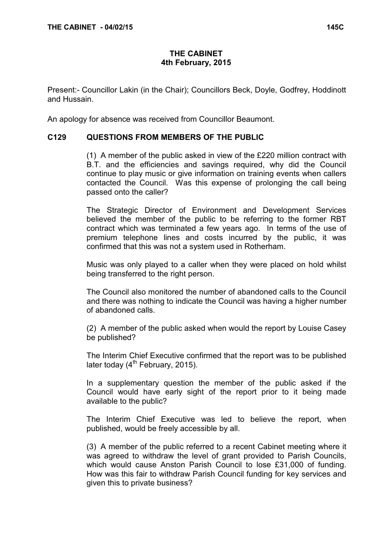# THE CABINET 4th February, 2015

Present:- Councillor Lakin (in the Chair); Councillors Beck, Doyle, Godfrey, Hoddinott and Hussain.

An apology for absence was received from Councillor Beaumont.

# C129 QUESTIONS FROM MEMBERS OF THE PUBLIC

 (1) A member of the public asked in view of the £220 million contract with B.T. and the efficiencies and savings required, why did the Council continue to play music or give information on training events when callers contacted the Council. Was this expense of prolonging the call being passed onto the caller?

The Strategic Director of Environment and Development Services believed the member of the public to be referring to the former RBT contract which was terminated a few years ago. In terms of the use of premium telephone lines and costs incurred by the public, it was confirmed that this was not a system used in Rotherham.

Music was only played to a caller when they were placed on hold whilst being transferred to the right person.

The Council also monitored the number of abandoned calls to the Council and there was nothing to indicate the Council was having a higher number of abandoned calls.

(2) A member of the public asked when would the report by Louise Casey be published?

The Interim Chief Executive confirmed that the report was to be published later today  $(4^{th}$  February, 2015).

In a supplementary question the member of the public asked if the Council would have early sight of the report prior to it being made available to the public?

The Interim Chief Executive was led to believe the report, when published, would be freely accessible by all.

(3) A member of the public referred to a recent Cabinet meeting where it was agreed to withdraw the level of grant provided to Parish Councils, which would cause Anston Parish Council to lose £31,000 of funding. How was this fair to withdraw Parish Council funding for key services and given this to private business?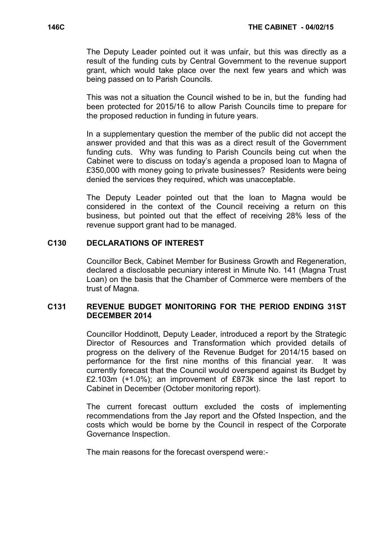The Deputy Leader pointed out it was unfair, but this was directly as a result of the funding cuts by Central Government to the revenue support grant, which would take place over the next few years and which was being passed on to Parish Councils.

This was not a situation the Council wished to be in, but the funding had been protected for 2015/16 to allow Parish Councils time to prepare for the proposed reduction in funding in future years.

In a supplementary question the member of the public did not accept the answer provided and that this was as a direct result of the Government funding cuts. Why was funding to Parish Councils being cut when the Cabinet were to discuss on today's agenda a proposed loan to Magna of £350,000 with money going to private businesses? Residents were being denied the services they required, which was unacceptable.

The Deputy Leader pointed out that the loan to Magna would be considered in the context of the Council receiving a return on this business, but pointed out that the effect of receiving 28% less of the revenue support grant had to be managed.

## C130 DECLARATIONS OF INTEREST

 Councillor Beck, Cabinet Member for Business Growth and Regeneration, declared a disclosable pecuniary interest in Minute No. 141 (Magna Trust Loan) on the basis that the Chamber of Commerce were members of the trust of Magna.

## C131 REVENUE BUDGET MONITORING FOR THE PERIOD ENDING 31ST DECEMBER 2014

 Councillor Hoddinott, Deputy Leader, introduced a report by the Strategic Director of Resources and Transformation which provided details of progress on the delivery of the Revenue Budget for 2014/15 based on performance for the first nine months of this financial year. It was currently forecast that the Council would overspend against its Budget by £2.103m (+1.0%); an improvement of £873k since the last report to Cabinet in December (October monitoring report).

The current forecast outturn excluded the costs of implementing recommendations from the Jay report and the Ofsted Inspection, and the costs which would be borne by the Council in respect of the Corporate Governance Inspection.

The main reasons for the forecast overspend were:-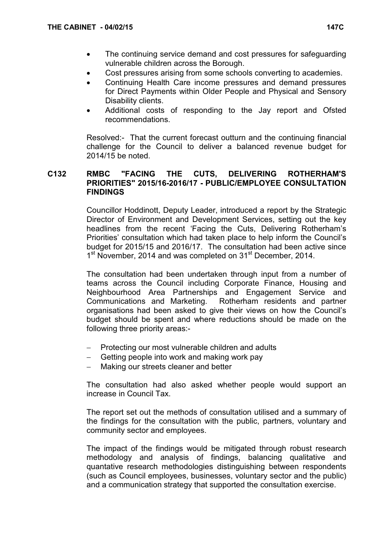- The continuing service demand and cost pressures for safeguarding vulnerable children across the Borough.
- Cost pressures arising from some schools converting to academies.
- Continuing Health Care income pressures and demand pressures for Direct Payments within Older People and Physical and Sensory Disability clients.
- Additional costs of responding to the Jay report and Ofsted recommendations.

Resolved:- That the current forecast outturn and the continuing financial challenge for the Council to deliver a balanced revenue budget for 2014/15 be noted.

## C132 RMBC "FACING THE CUTS, DELIVERING ROTHERHAM'S PRIORITIES" 2015/16-2016/17 - PUBLIC/EMPLOYEE CONSULTATION FINDINGS

 Councillor Hoddinott, Deputy Leader, introduced a report by the Strategic Director of Environment and Development Services, setting out the key headlines from the recent 'Facing the Cuts, Delivering Rotherham's Priorities' consultation which had taken place to help inform the Council's budget for 2015/15 and 2016/17. The consultation had been active since 1<sup>st</sup> November, 2014 and was completed on 31<sup>st</sup> December, 2014.

The consultation had been undertaken through input from a number of teams across the Council including Corporate Finance, Housing and Neighbourhood Area Partnerships and Engagement Service and Communications and Marketing. Rotherham residents and partner organisations had been asked to give their views on how the Council's budget should be spent and where reductions should be made on the following three priority areas:-

- − Protecting our most vulnerable children and adults
- Getting people into work and making work pay
- Making our streets cleaner and better

The consultation had also asked whether people would support an increase in Council Tax.

The report set out the methods of consultation utilised and a summary of the findings for the consultation with the public, partners, voluntary and community sector and employees.

The impact of the findings would be mitigated through robust research methodology and analysis of findings, balancing qualitative and quantative research methodologies distinguishing between respondents (such as Council employees, businesses, voluntary sector and the public) and a communication strategy that supported the consultation exercise.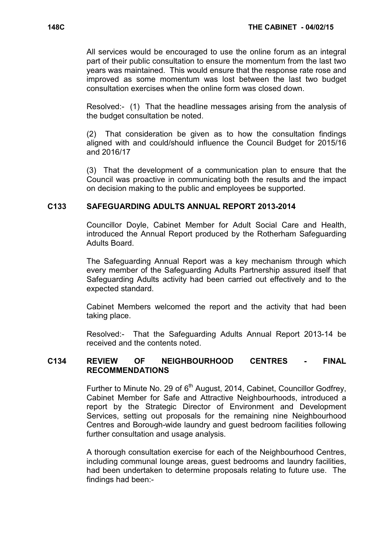All services would be encouraged to use the online forum as an integral part of their public consultation to ensure the momentum from the last two years was maintained. This would ensure that the response rate rose and improved as some momentum was lost between the last two budget consultation exercises when the online form was closed down.

Resolved:- (1) That the headline messages arising from the analysis of the budget consultation be noted.

(2) That consideration be given as to how the consultation findings aligned with and could/should influence the Council Budget for 2015/16 and 2016/17

(3) That the development of a communication plan to ensure that the Council was proactive in communicating both the results and the impact on decision making to the public and employees be supported.

# C133 SAFEGUARDING ADULTS ANNUAL REPORT 2013-2014

 Councillor Doyle, Cabinet Member for Adult Social Care and Health, introduced the Annual Report produced by the Rotherham Safeguarding Adults Board.

The Safeguarding Annual Report was a key mechanism through which every member of the Safeguarding Adults Partnership assured itself that Safeguarding Adults activity had been carried out effectively and to the expected standard.

Cabinet Members welcomed the report and the activity that had been taking place.

Resolved:- That the Safeguarding Adults Annual Report 2013-14 be received and the contents noted.

# C134 REVIEW OF NEIGHBOURHOOD CENTRES - FINAL RECOMMENDATIONS

Further to Minute No. 29 of 6<sup>th</sup> August, 2014, Cabinet, Councillor Godfrey, Cabinet Member for Safe and Attractive Neighbourhoods, introduced a report by the Strategic Director of Environment and Development Services, setting out proposals for the remaining nine Neighbourhood Centres and Borough-wide laundry and guest bedroom facilities following further consultation and usage analysis.

A thorough consultation exercise for each of the Neighbourhood Centres, including communal lounge areas, guest bedrooms and laundry facilities, had been undertaken to determine proposals relating to future use. The findings had been:-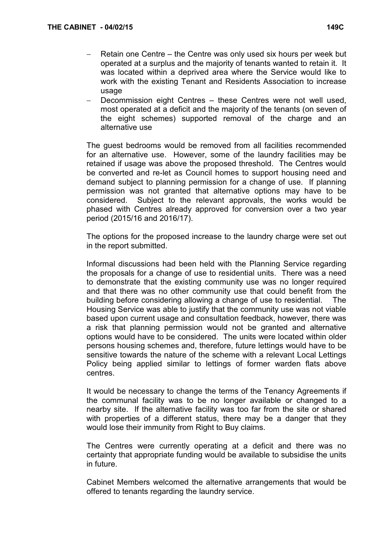- Retain one Centre the Centre was only used six hours per week but operated at a surplus and the majority of tenants wanted to retain it. It was located within a deprived area where the Service would like to work with the existing Tenant and Residents Association to increase usage
- Decommission eight Centres these Centres were not well used, most operated at a deficit and the majority of the tenants (on seven of the eight schemes) supported removal of the charge and an alternative use

The guest bedrooms would be removed from all facilities recommended for an alternative use. However, some of the laundry facilities may be retained if usage was above the proposed threshold. The Centres would be converted and re-let as Council homes to support housing need and demand subject to planning permission for a change of use. If planning permission was not granted that alternative options may have to be considered. Subject to the relevant approvals, the works would be phased with Centres already approved for conversion over a two year period (2015/16 and 2016/17).

The options for the proposed increase to the laundry charge were set out in the report submitted.

Informal discussions had been held with the Planning Service regarding the proposals for a change of use to residential units. There was a need to demonstrate that the existing community use was no longer required and that there was no other community use that could benefit from the building before considering allowing a change of use to residential. The Housing Service was able to justify that the community use was not viable based upon current usage and consultation feedback, however, there was a risk that planning permission would not be granted and alternative options would have to be considered. The units were located within older persons housing schemes and, therefore, future lettings would have to be sensitive towards the nature of the scheme with a relevant Local Lettings Policy being applied similar to lettings of former warden flats above centres.

It would be necessary to change the terms of the Tenancy Agreements if the communal facility was to be no longer available or changed to a nearby site. If the alternative facility was too far from the site or shared with properties of a different status, there may be a danger that they would lose their immunity from Right to Buy claims.

The Centres were currently operating at a deficit and there was no certainty that appropriate funding would be available to subsidise the units in future.

Cabinet Members welcomed the alternative arrangements that would be offered to tenants regarding the laundry service.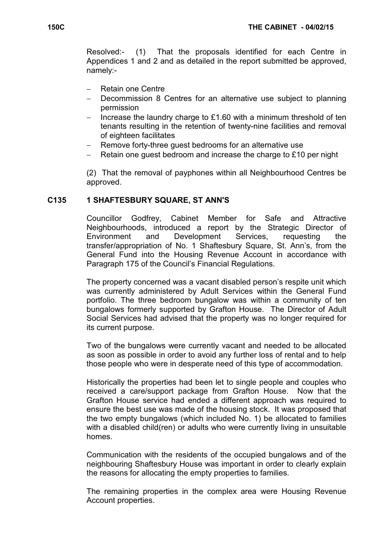Resolved:- (1) That the proposals identified for each Centre in Appendices 1 and 2 and as detailed in the report submitted be approved, namely:-

- − Retain one Centre
- Decommission 8 Centres for an alternative use subject to planning permission
- − Increase the laundry charge to £1.60 with a minimum threshold of ten tenants resulting in the retention of twenty-nine facilities and removal of eighteen facilitates
- Remove forty-three guest bedrooms for an alternative use
- Retain one guest bedroom and increase the charge to £10 per night

(2) That the removal of payphones within all Neighbourhood Centres be approved.

## C135 1 SHAFTESBURY SQUARE, ST ANN'S

 Councillor Godfrey, Cabinet Member for Safe and Attractive Neighbourhoods, introduced a report by the Strategic Director of Environment and Development Services, requesting the transfer/appropriation of No. 1 Shaftesbury Square, St. Ann's, from the General Fund into the Housing Revenue Account in accordance with Paragraph 175 of the Council's Financial Regulations.

The property concerned was a vacant disabled person's respite unit which was currently administered by Adult Services within the General Fund portfolio. The three bedroom bungalow was within a community of ten bungalows formerly supported by Grafton House. The Director of Adult Social Services had advised that the property was no longer required for its current purpose.

Two of the bungalows were currently vacant and needed to be allocated as soon as possible in order to avoid any further loss of rental and to help those people who were in desperate need of this type of accommodation.

Historically the properties had been let to single people and couples who received a care/support package from Grafton House. Now that the Grafton House service had ended a different approach was required to ensure the best use was made of the housing stock. It was proposed that the two empty bungalows (which included No. 1) be allocated to families with a disabled child(ren) or adults who were currently living in unsuitable homes.

Communication with the residents of the occupied bungalows and of the neighbouring Shaftesbury House was important in order to clearly explain the reasons for allocating the empty properties to families.

The remaining properties in the complex area were Housing Revenue Account properties.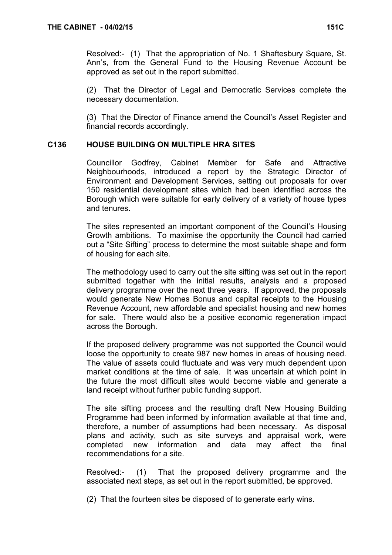Resolved:- (1) That the appropriation of No. 1 Shaftesbury Square, St. Ann's, from the General Fund to the Housing Revenue Account be approved as set out in the report submitted.

(2) That the Director of Legal and Democratic Services complete the necessary documentation.

(3) That the Director of Finance amend the Council's Asset Register and financial records accordingly.

# C136 HOUSE BUILDING ON MULTIPLE HRA SITES

 Councillor Godfrey, Cabinet Member for Safe and Attractive Neighbourhoods, introduced a report by the Strategic Director of Environment and Development Services, setting out proposals for over 150 residential development sites which had been identified across the Borough which were suitable for early delivery of a variety of house types and tenures.

The sites represented an important component of the Council's Housing Growth ambitions. To maximise the opportunity the Council had carried out a "Site Sifting" process to determine the most suitable shape and form of housing for each site.

The methodology used to carry out the site sifting was set out in the report submitted together with the initial results, analysis and a proposed delivery programme over the next three years. If approved, the proposals would generate New Homes Bonus and capital receipts to the Housing Revenue Account, new affordable and specialist housing and new homes for sale. There would also be a positive economic regeneration impact across the Borough.

If the proposed delivery programme was not supported the Council would loose the opportunity to create 987 new homes in areas of housing need. The value of assets could fluctuate and was very much dependent upon market conditions at the time of sale. It was uncertain at which point in the future the most difficult sites would become viable and generate a land receipt without further public funding support.

The site sifting process and the resulting draft New Housing Building Programme had been informed by information available at that time and, therefore, a number of assumptions had been necessary. As disposal plans and activity, such as site surveys and appraisal work, were completed new information and data may affect the final recommendations for a site.

Resolved:- (1) That the proposed delivery programme and the associated next steps, as set out in the report submitted, be approved.

(2) That the fourteen sites be disposed of to generate early wins.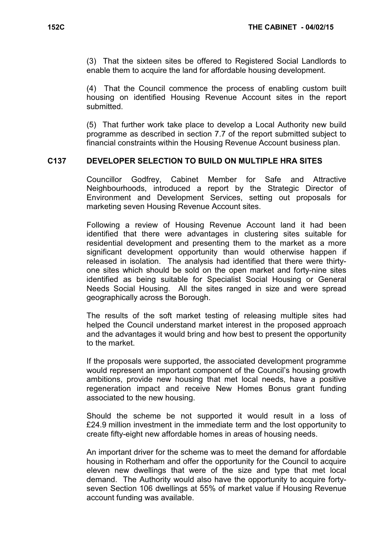(3) That the sixteen sites be offered to Registered Social Landlords to enable them to acquire the land for affordable housing development.

(4) That the Council commence the process of enabling custom built housing on identified Housing Revenue Account sites in the report submitted.

(5) That further work take place to develop a Local Authority new build programme as described in section 7.7 of the report submitted subject to financial constraints within the Housing Revenue Account business plan.

## C137 DEVELOPER SELECTION TO BUILD ON MULTIPLE HRA SITES

 Councillor Godfrey, Cabinet Member for Safe and Attractive Neighbourhoods, introduced a report by the Strategic Director of Environment and Development Services, setting out proposals for marketing seven Housing Revenue Account sites.

Following a review of Housing Revenue Account land it had been identified that there were advantages in clustering sites suitable for residential development and presenting them to the market as a more significant development opportunity than would otherwise happen if released in isolation. The analysis had identified that there were thirtyone sites which should be sold on the open market and forty-nine sites identified as being suitable for Specialist Social Housing or General Needs Social Housing. All the sites ranged in size and were spread geographically across the Borough.

The results of the soft market testing of releasing multiple sites had helped the Council understand market interest in the proposed approach and the advantages it would bring and how best to present the opportunity to the market.

If the proposals were supported, the associated development programme would represent an important component of the Council's housing growth ambitions, provide new housing that met local needs, have a positive regeneration impact and receive New Homes Bonus grant funding associated to the new housing.

Should the scheme be not supported it would result in a loss of £24.9 million investment in the immediate term and the lost opportunity to create fifty-eight new affordable homes in areas of housing needs.

An important driver for the scheme was to meet the demand for affordable housing in Rotherham and offer the opportunity for the Council to acquire eleven new dwellings that were of the size and type that met local demand. The Authority would also have the opportunity to acquire fortyseven Section 106 dwellings at 55% of market value if Housing Revenue account funding was available.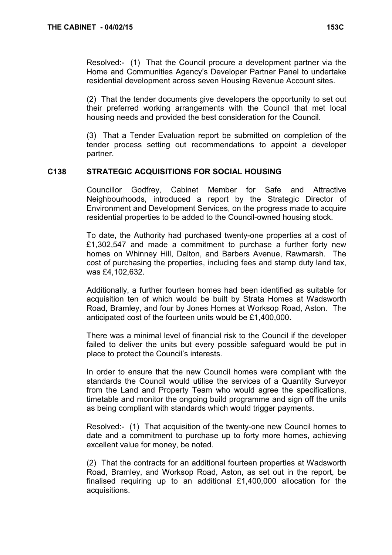Resolved:- (1) That the Council procure a development partner via the Home and Communities Agency's Developer Partner Panel to undertake residential development across seven Housing Revenue Account sites.

(2) That the tender documents give developers the opportunity to set out their preferred working arrangements with the Council that met local housing needs and provided the best consideration for the Council.

(3) That a Tender Evaluation report be submitted on completion of the tender process setting out recommendations to appoint a developer partner.

# C138 STRATEGIC ACQUISITIONS FOR SOCIAL HOUSING

 Councillor Godfrey, Cabinet Member for Safe and Attractive Neighbourhoods, introduced a report by the Strategic Director of Environment and Development Services, on the progress made to acquire residential properties to be added to the Council-owned housing stock.

To date, the Authority had purchased twenty-one properties at a cost of £1,302,547 and made a commitment to purchase a further forty new homes on Whinney Hill, Dalton, and Barbers Avenue, Rawmarsh. The cost of purchasing the properties, including fees and stamp duty land tax, was £4,102,632.

Additionally, a further fourteen homes had been identified as suitable for acquisition ten of which would be built by Strata Homes at Wadsworth Road, Bramley, and four by Jones Homes at Worksop Road, Aston. The anticipated cost of the fourteen units would be £1,400,000.

There was a minimal level of financial risk to the Council if the developer failed to deliver the units but every possible safeguard would be put in place to protect the Council's interests.

In order to ensure that the new Council homes were compliant with the standards the Council would utilise the services of a Quantity Surveyor from the Land and Property Team who would agree the specifications, timetable and monitor the ongoing build programme and sign off the units as being compliant with standards which would trigger payments.

Resolved:- (1) That acquisition of the twenty-one new Council homes to date and a commitment to purchase up to forty more homes, achieving excellent value for money, be noted.

(2) That the contracts for an additional fourteen properties at Wadsworth Road, Bramley, and Worksop Road, Aston, as set out in the report, be finalised requiring up to an additional £1,400,000 allocation for the acquisitions.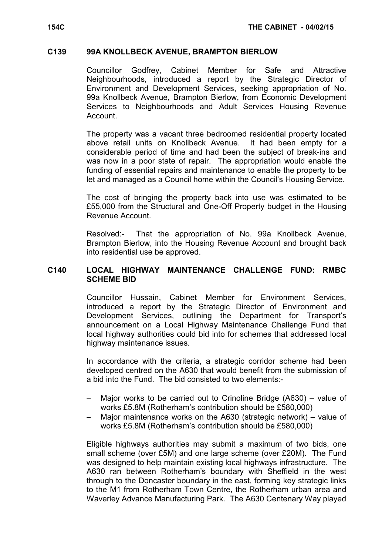#### C139 99A KNOLLBECK AVENUE, BRAMPTON BIERLOW

 Councillor Godfrey, Cabinet Member for Safe and Attractive Neighbourhoods, introduced a report by the Strategic Director of Environment and Development Services, seeking appropriation of No. 99a Knollbeck Avenue, Brampton Bierlow, from Economic Development Services to Neighbourhoods and Adult Services Housing Revenue Account.

The property was a vacant three bedroomed residential property located above retail units on Knollbeck Avenue. It had been empty for a considerable period of time and had been the subject of break-ins and was now in a poor state of repair. The appropriation would enable the funding of essential repairs and maintenance to enable the property to be let and managed as a Council home within the Council's Housing Service.

The cost of bringing the property back into use was estimated to be £55,000 from the Structural and One-Off Property budget in the Housing Revenue Account.

Resolved:- That the appropriation of No. 99a Knollbeck Avenue, Brampton Bierlow, into the Housing Revenue Account and brought back into residential use be approved.

# C140 LOCAL HIGHWAY MAINTENANCE CHALLENGE FUND: RMBC SCHEME BID

 Councillor Hussain, Cabinet Member for Environment Services, introduced a report by the Strategic Director of Environment and Development Services, outlining the Department for Transport's announcement on a Local Highway Maintenance Challenge Fund that local highway authorities could bid into for schemes that addressed local highway maintenance issues.

In accordance with the criteria, a strategic corridor scheme had been developed centred on the A630 that would benefit from the submission of a bid into the Fund. The bid consisted to two elements:-

- Major works to be carried out to Crinoline Bridge (A630) value of works £5.8M (Rotherham's contribution should be £580,000)
- Major maintenance works on the A630 (strategic network) value of works £5.8M (Rotherham's contribution should be £580,000)

Eligible highways authorities may submit a maximum of two bids, one small scheme (over £5M) and one large scheme (over £20M). The Fund was designed to help maintain existing local highways infrastructure. The A630 ran between Rotherham's boundary with Sheffield in the west through to the Doncaster boundary in the east, forming key strategic links to the M1 from Rotherham Town Centre, the Rotherham urban area and Waverley Advance Manufacturing Park. The A630 Centenary Way played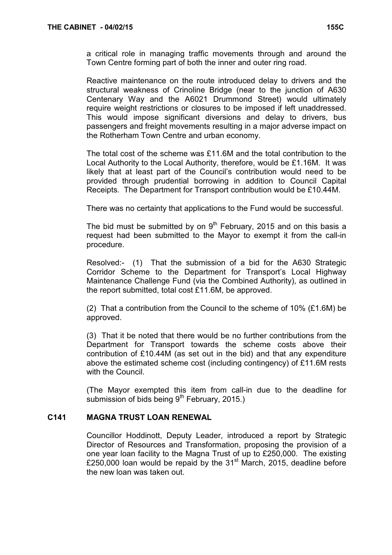a critical role in managing traffic movements through and around the Town Centre forming part of both the inner and outer ring road.

Reactive maintenance on the route introduced delay to drivers and the structural weakness of Crinoline Bridge (near to the junction of A630 Centenary Way and the A6021 Drummond Street) would ultimately require weight restrictions or closures to be imposed if left unaddressed. This would impose significant diversions and delay to drivers, bus passengers and freight movements resulting in a major adverse impact on the Rotherham Town Centre and urban economy.

The total cost of the scheme was £11.6M and the total contribution to the Local Authority to the Local Authority, therefore, would be £1.16M. It was likely that at least part of the Council's contribution would need to be provided through prudential borrowing in addition to Council Capital Receipts. The Department for Transport contribution would be £10.44M.

There was no certainty that applications to the Fund would be successful.

The bid must be submitted by on  $9<sup>th</sup>$  February, 2015 and on this basis a request had been submitted to the Mayor to exempt it from the call-in procedure.

Resolved:- (1) That the submission of a bid for the A630 Strategic Corridor Scheme to the Department for Transport's Local Highway Maintenance Challenge Fund (via the Combined Authority), as outlined in the report submitted, total cost £11.6M, be approved.

(2) That a contribution from the Council to the scheme of 10% (£1.6M) be approved.

(3) That it be noted that there would be no further contributions from the Department for Transport towards the scheme costs above their contribution of £10.44M (as set out in the bid) and that any expenditure above the estimated scheme cost (including contingency) of £11.6M rests with the Council.

(The Mayor exempted this item from call-in due to the deadline for submission of bids being  $9<sup>th</sup>$  February, 2015.)

# C141 MAGNA TRUST LOAN RENEWAL

 Councillor Hoddinott, Deputy Leader, introduced a report by Strategic Director of Resources and Transformation, proposing the provision of a one year loan facility to the Magna Trust of up to £250,000. The existing £250,000 loan would be repaid by the  $31<sup>st</sup>$  March, 2015, deadline before the new loan was taken out.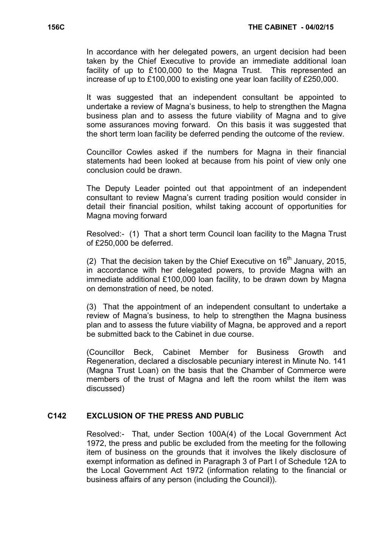In accordance with her delegated powers, an urgent decision had been taken by the Chief Executive to provide an immediate additional loan facility of up to £100,000 to the Magna Trust. This represented an increase of up to £100,000 to existing one year loan facility of £250,000.

It was suggested that an independent consultant be appointed to undertake a review of Magna's business, to help to strengthen the Magna business plan and to assess the future viability of Magna and to give some assurances moving forward. On this basis it was suggested that the short term loan facility be deferred pending the outcome of the review.

Councillor Cowles asked if the numbers for Magna in their financial statements had been looked at because from his point of view only one conclusion could be drawn.

The Deputy Leader pointed out that appointment of an independent consultant to review Magna's current trading position would consider in detail their financial position, whilst taking account of opportunities for Magna moving forward

Resolved:- (1) That a short term Council loan facility to the Magna Trust of £250,000 be deferred.

(2) That the decision taken by the Chief Executive on  $16<sup>th</sup>$  January, 2015, in accordance with her delegated powers, to provide Magna with an immediate additional £100,000 loan facility, to be drawn down by Magna on demonstration of need, be noted.

(3) That the appointment of an independent consultant to undertake a review of Magna's business, to help to strengthen the Magna business plan and to assess the future viability of Magna, be approved and a report be submitted back to the Cabinet in due course.

(Councillor Beck, Cabinet Member for Business Growth and Regeneration, declared a disclosable pecuniary interest in Minute No. 141 (Magna Trust Loan) on the basis that the Chamber of Commerce were members of the trust of Magna and left the room whilst the item was discussed)

# C142 EXCLUSION OF THE PRESS AND PUBLIC

 Resolved:- That, under Section 100A(4) of the Local Government Act 1972, the press and public be excluded from the meeting for the following item of business on the grounds that it involves the likely disclosure of exempt information as defined in Paragraph 3 of Part I of Schedule 12A to the Local Government Act 1972 (information relating to the financial or business affairs of any person (including the Council)).